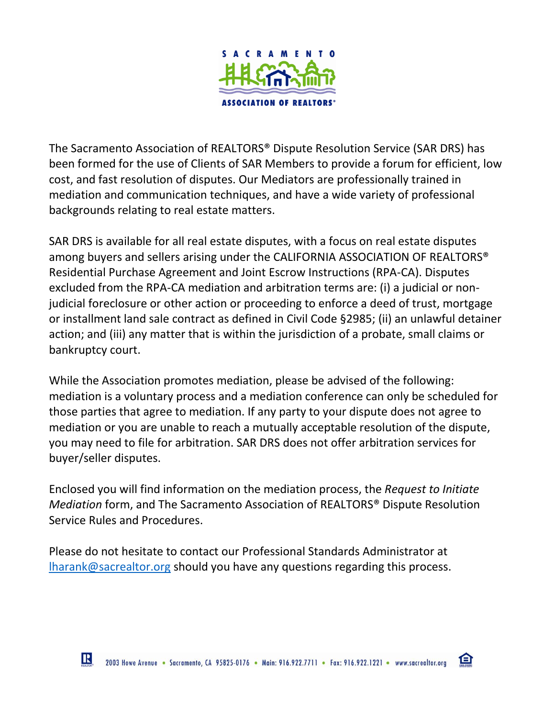

The Sacramento Association of REALTORS® Dispute Resolution Service (SAR DRS) has been formed for the use of Clients of SAR Members to provide a forum for efficient, low cost, and fast resolution of disputes. Our Mediators are professionally trained in mediation and communication techniques, and have a wide variety of professional backgrounds relating to real estate matters.

SAR DRS is available for all real estate disputes, with a focus on real estate disputes among buyers and sellers arising under the CALIFORNIA ASSOCIATION OF REALTORS® Residential Purchase Agreement and Joint Escrow Instructions (RPA-CA). Disputes excluded from the RPA-CA mediation and arbitration terms are: (i) a judicial or nonjudicial foreclosure or other action or proceeding to enforce a deed of trust, mortgage or installment land sale contract as defined in Civil Code §2985; (ii) an unlawful detainer action; and (iii) any matter that is within the jurisdiction of a probate, small claims or bankruptcy court.

While the Association promotes mediation, please be advised of the following: mediation is a voluntary process and a mediation conference can only be scheduled for those parties that agree to mediation. If any party to your dispute does not agree to mediation or you are unable to reach a mutually acceptable resolution of the dispute, you may need to file for arbitration. SAR DRS does not offer arbitration services for buyer/seller disputes.

Enclosed you will find information on the mediation process, the *Request to Initiate Mediation* form, and The Sacramento Association of REALTORS® Dispute Resolution Service Rules and Procedures.

Please do not hesitate to contact our Professional Standards Administrator at [lharank@sacrealtor.org](mailto:lharank@sacrealtor.org) should you have any questions regarding this process.

臼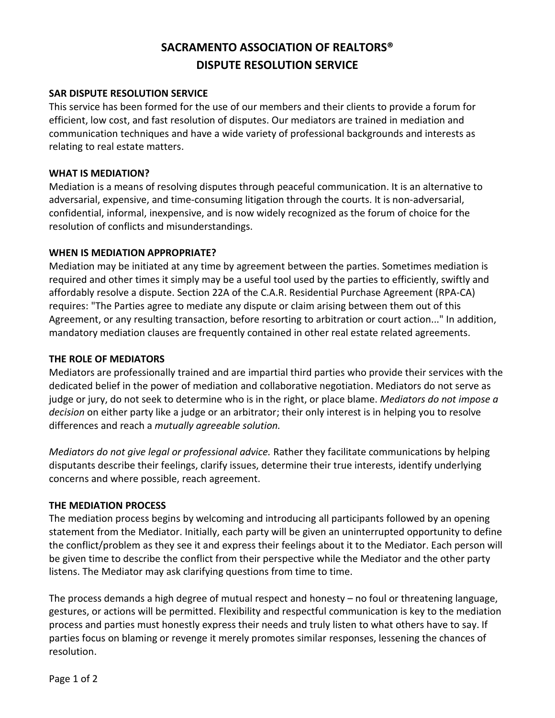# **SACRAMENTO ASSOCIATION OF REALTORS® DISPUTE RESOLUTION SERVICE**

### **SAR DISPUTE RESOLUTION SERVICE**

This service has been formed for the use of our members and their clients to provide a forum for efficient, low cost, and fast resolution of disputes. Our mediators are trained in mediation and communication techniques and have a wide variety of professional backgrounds and interests as relating to real estate matters.

### **WHAT IS MEDIATION?**

Mediation is a means of resolving disputes through peaceful communication. It is an alternative to adversarial, expensive, and time-consuming litigation through the courts. It is non-adversarial, confidential, informal, inexpensive, and is now widely recognized as the forum of choice for the resolution of conflicts and misunderstandings.

### **WHEN IS MEDIATION APPROPRIATE?**

Mediation may be initiated at any time by agreement between the parties. Sometimes mediation is required and other times it simply may be a useful tool used by the parties to efficiently, swiftly and affordably resolve a dispute. Section 22A of the C.A.R. Residential Purchase Agreement (RPA-CA) requires: "The Parties agree to mediate any dispute or claim arising between them out of this Agreement, or any resulting transaction, before resorting to arbitration or court action..." In addition, mandatory mediation clauses are frequently contained in other real estate related agreements.

### **THE ROLE OF MEDIATORS**

Mediators are professionally trained and are impartial third parties who provide their services with the dedicated belief in the power of mediation and collaborative negotiation. Mediators do not serve as judge or jury, do not seek to determine who is in the right, or place blame. *Mediators do not impose a decision* on either party like a judge or an arbitrator; their only interest is in helping you to resolve differences and reach a *mutually agreeable solution.*

*Mediators do not give legal or professional advice.* Rather they facilitate communications by helping disputants describe their feelings, clarify issues, determine their true interests, identify underlying concerns and where possible, reach agreement.

### **THE MEDIATION PROCESS**

The mediation process begins by welcoming and introducing all participants followed by an opening statement from the Mediator. Initially, each party will be given an uninterrupted opportunity to define the conflict/problem as they see it and express their feelings about it to the Mediator. Each person will be given time to describe the conflict from their perspective while the Mediator and the other party listens. The Mediator may ask clarifying questions from time to time.

The process demands a high degree of mutual respect and honesty – no foul or threatening language, gestures, or actions will be permitted. Flexibility and respectful communication is key to the mediation process and parties must honestly express their needs and truly listen to what others have to say. If parties focus on blaming or revenge it merely promotes similar responses, lessening the chances of resolution.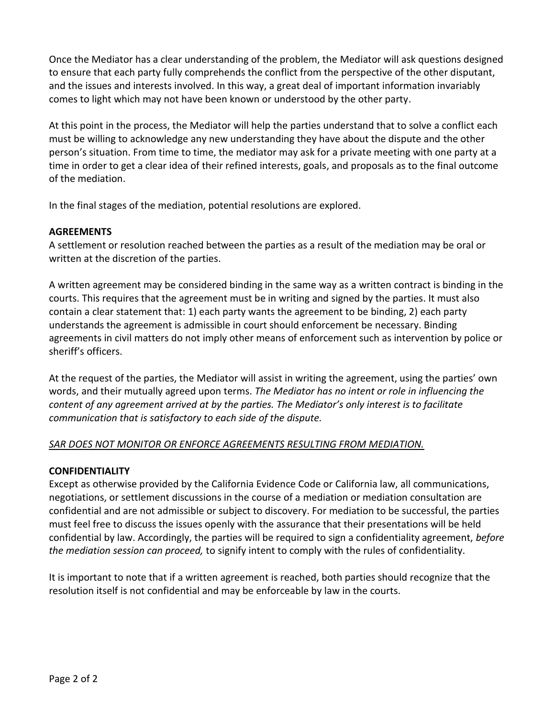Once the Mediator has a clear understanding of the problem, the Mediator will ask questions designed to ensure that each party fully comprehends the conflict from the perspective of the other disputant, and the issues and interests involved. In this way, a great deal of important information invariably comes to light which may not have been known or understood by the other party.

At this point in the process, the Mediator will help the parties understand that to solve a conflict each must be willing to acknowledge any new understanding they have about the dispute and the other person's situation. From time to time, the mediator may ask for a private meeting with one party at a time in order to get a clear idea of their refined interests, goals, and proposals as to the final outcome of the mediation.

In the final stages of the mediation, potential resolutions are explored.

### **AGREEMENTS**

A settlement or resolution reached between the parties as a result of the mediation may be oral or written at the discretion of the parties.

A written agreement may be considered binding in the same way as a written contract is binding in the courts. This requires that the agreement must be in writing and signed by the parties. It must also contain a clear statement that: 1) each party wants the agreement to be binding, 2) each party understands the agreement is admissible in court should enforcement be necessary. Binding agreements in civil matters do not imply other means of enforcement such as intervention by police or sheriff's officers.

At the request of the parties, the Mediator will assist in writing the agreement, using the parties' own words, and their mutually agreed upon terms. *The Mediator has no intent or role in influencing the content of any agreement arrived at by the parties. The Mediator's only interest is to facilitate communication that is satisfactory to each side of the dispute.*

### *SAR DOES NOT MONITOR OR ENFORCE AGREEMENTS RESULTING FROM MEDIATION.*

### **CONFIDENTIALITY**

Except as otherwise provided by the California Evidence Code or California law, all communications, negotiations, or settlement discussions in the course of a mediation or mediation consultation are confidential and are not admissible or subject to discovery. For mediation to be successful, the parties must feel free to discuss the issues openly with the assurance that their presentations will be held confidential by law. Accordingly, the parties will be required to sign a confidentiality agreement, *before the mediation session can proceed,* to signify intent to comply with the rules of confidentiality.

It is important to note that if a written agreement is reached, both parties should recognize that the resolution itself is not confidential and may be enforceable by law in the courts.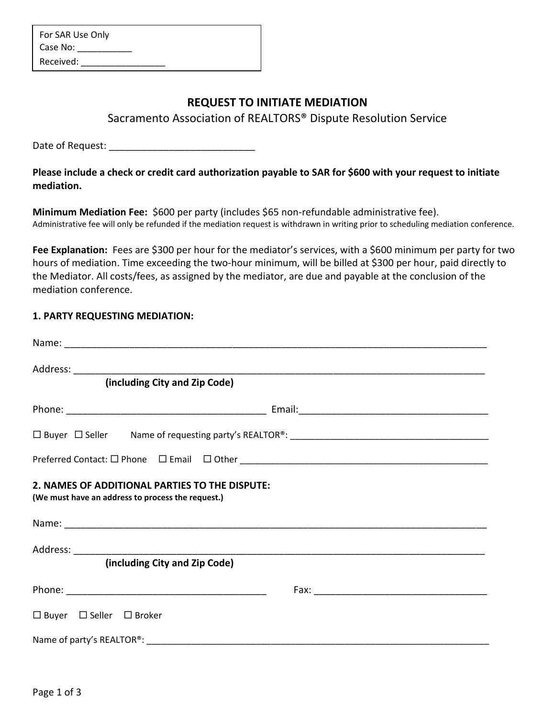| For SAR Use Only |  |
|------------------|--|
| Case No:         |  |
| Received:        |  |

# **REQUEST TO INITIATE MEDIATION**

Sacramento Association of REALTORS® Dispute Resolution Service

Date of Request: \_\_\_\_\_\_\_\_\_\_\_\_\_\_\_\_\_\_\_\_\_\_\_\_\_\_\_

**Please include a check or credit card authorization payable to SAR for \$600 with your request to initiate mediation.**

**Minimum Mediation Fee:** \$600 per party (includes \$65 non-refundable administrative fee). Administrative fee will only be refunded if the mediation request is withdrawn in writing prior to scheduling mediation conference.

Fee Explanation: Fees are \$300 per hour for the mediator's services, with a \$600 minimum per party for two hours of mediation. Time exceeding the two-hour minimum, will be billed at \$300 per hour, paid directly to the Mediator. All costs/fees, as assigned by the mediator, are due and payable at the conclusion of the mediation conference.

### **1. PARTY REQUESTING MEDIATION:**

| (including City and Zip Code)                                                                       |  |  |  |  |  |
|-----------------------------------------------------------------------------------------------------|--|--|--|--|--|
|                                                                                                     |  |  |  |  |  |
|                                                                                                     |  |  |  |  |  |
|                                                                                                     |  |  |  |  |  |
| 2. NAMES OF ADDITIONAL PARTIES TO THE DISPUTE:<br>(We must have an address to process the request.) |  |  |  |  |  |
|                                                                                                     |  |  |  |  |  |
| (including City and Zip Code)                                                                       |  |  |  |  |  |
|                                                                                                     |  |  |  |  |  |
| $\Box$ Buyer $\Box$ Seller $\Box$ Broker                                                            |  |  |  |  |  |
|                                                                                                     |  |  |  |  |  |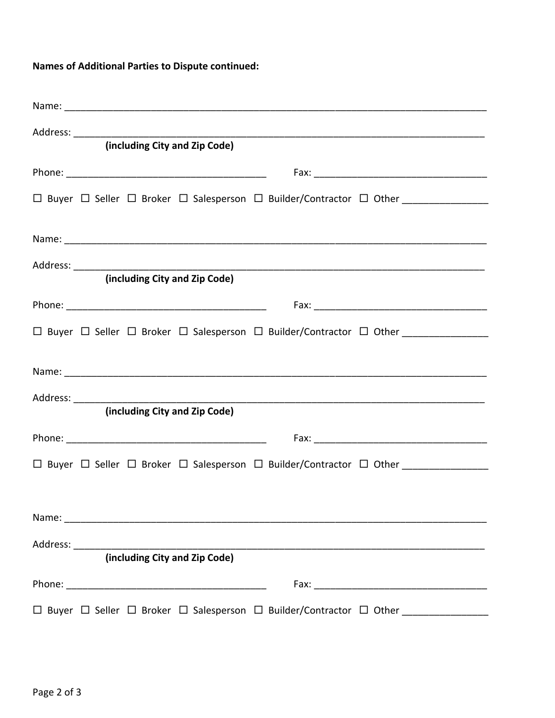# **Names of Additional Parties to Dispute continued:**

| (including City and Zip Code)                                                        |  |
|--------------------------------------------------------------------------------------|--|
|                                                                                      |  |
|                                                                                      |  |
|                                                                                      |  |
|                                                                                      |  |
| (including City and Zip Code)                                                        |  |
|                                                                                      |  |
| □ Buyer □ Seller □ Broker □ Salesperson □ Builder/Contractor □ Other ______________  |  |
|                                                                                      |  |
|                                                                                      |  |
| (including City and Zip Code)                                                        |  |
|                                                                                      |  |
|                                                                                      |  |
|                                                                                      |  |
|                                                                                      |  |
|                                                                                      |  |
| (including City and Zip Code)                                                        |  |
|                                                                                      |  |
| □ Buyer □ Seller □ Broker □ Salesperson □ Builder/Contractor □ Other _______________ |  |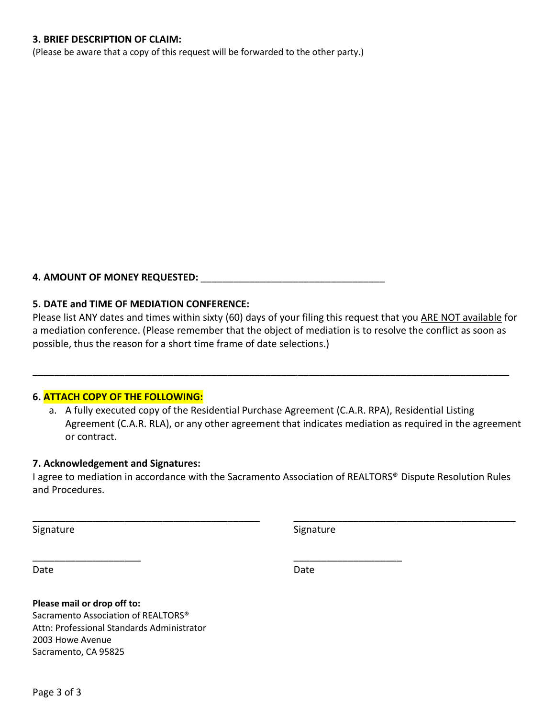### **3. BRIEF DESCRIPTION OF CLAIM:**

(Please be aware that a copy of this request will be forwarded to the other party.)

### **4. AMOUNT OF MONEY REQUESTED:** \_\_\_\_\_\_\_\_\_\_\_\_\_\_\_\_\_\_\_\_\_\_\_\_\_\_\_\_\_\_\_\_\_\_

### **5. DATE and TIME OF MEDIATION CONFERENCE:**

Please list ANY dates and times within sixty (60) days of your filing this request that you ARE NOT available for a mediation conference. (Please remember that the object of mediation is to resolve the conflict as soon as possible, thus the reason for a short time frame of date selections.)

\_\_\_\_\_\_\_\_\_\_\_\_\_\_\_\_\_\_\_\_\_\_\_\_\_\_\_\_\_\_\_\_\_\_\_\_\_\_\_\_\_\_\_\_\_\_\_\_\_\_\_\_\_\_\_\_\_\_\_\_\_\_\_\_\_\_\_\_\_\_\_\_\_\_\_\_\_\_\_\_\_\_\_\_\_\_\_\_

### **6. ATTACH COPY OF THE FOLLOWING:**

a. A fully executed copy of the Residential Purchase Agreement (C.A.R. RPA), Residential Listing Agreement (C.A.R. RLA), or any other agreement that indicates mediation as required in the agreement or contract.

### **7. Acknowledgement and Signatures:**

I agree to mediation in accordance with the Sacramento Association of REALTORS® Dispute Resolution Rules and Procedures.

\_\_\_\_\_\_\_\_\_\_\_\_\_\_\_\_\_\_\_\_\_\_\_\_\_\_\_\_\_\_\_\_\_\_\_\_\_\_\_\_\_\_ \_\_\_\_\_\_\_\_\_\_\_\_\_\_\_\_\_\_\_\_\_\_\_\_\_\_\_\_\_\_\_\_\_\_\_\_\_\_\_\_\_

\_\_\_\_\_\_\_\_\_\_\_\_\_\_\_\_\_\_\_\_ \_\_\_\_\_\_\_\_\_\_\_\_\_\_\_\_\_\_\_\_

Signature Signature Signature Signature Signature

Date **Date** Date **Date** Date **Date** 

**Please mail or drop off to:**

Sacramento Association of REALTORS® Attn: Professional Standards Administrator 2003 Howe Avenue Sacramento, CA 95825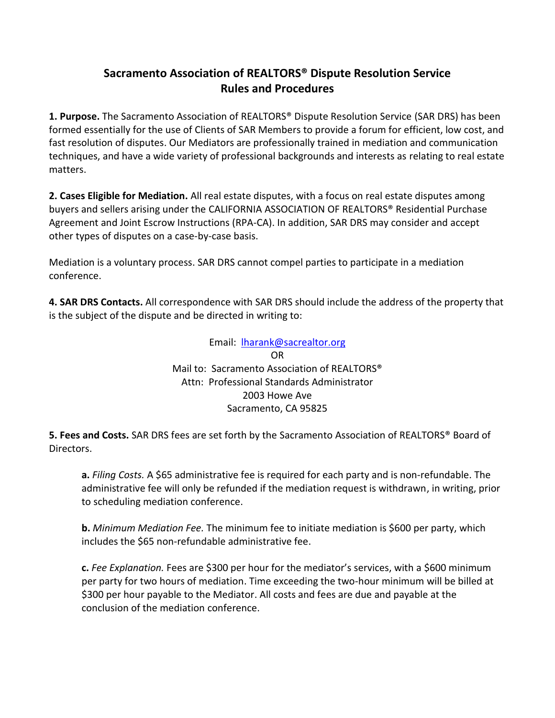# **Sacramento Association of REALTORS® Dispute Resolution Service Rules and Procedures**

**1. Purpose.** The Sacramento Association of REALTORS® Dispute Resolution Service (SAR DRS) has been formed essentially for the use of Clients of SAR Members to provide a forum for efficient, low cost, and fast resolution of disputes. Our Mediators are professionally trained in mediation and communication techniques, and have a wide variety of professional backgrounds and interests as relating to real estate matters.

**2. Cases Eligible for Mediation.** All real estate disputes, with a focus on real estate disputes among buyers and sellers arising under the CALIFORNIA ASSOCIATION OF REALTORS® Residential Purchase Agreement and Joint Escrow Instructions (RPA-CA). In addition, SAR DRS may consider and accept other types of disputes on a case-by-case basis.

Mediation is a voluntary process. SAR DRS cannot compel parties to participate in a mediation conference.

**4. SAR DRS Contacts.** All correspondence with SAR DRS should include the address of the property that is the subject of the dispute and be directed in writing to:

> Email: [lharank@sacrealtor.org](mailto:lharank@sacrealtor.org) OR Mail to: Sacramento Association of REALTORS® Attn: Professional Standards Administrator 2003 Howe Ave Sacramento, CA 95825

**5. Fees and Costs.** SAR DRS fees are set forth by the Sacramento Association of REALTORS® Board of Directors.

**a.** *Filing Costs.* A \$65 administrative fee is required for each party and is non-refundable. The administrative fee will only be refunded if the mediation request is withdrawn, in writing, prior to scheduling mediation conference.

**b.** *Minimum Mediation Fee.* The minimum fee to initiate mediation is \$600 per party, which includes the \$65 non-refundable administrative fee.

**c.** *Fee Explanation.* Fees are \$300 per hour for the mediator's services, with a \$600 minimum per party for two hours of mediation. Time exceeding the two-hour minimum will be billed at \$300 per hour payable to the Mediator. All costs and fees are due and payable at the conclusion of the mediation conference.